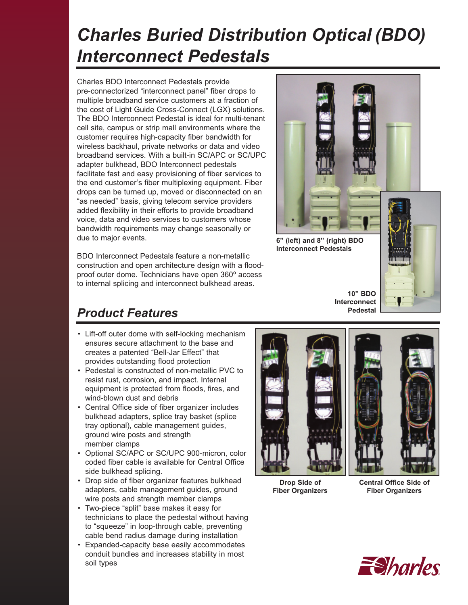# *Charles Buried Distribution Optical (BDO) Interconnect Pedestals*

Charles BDO Interconnect Pedestals provide pre-connectorized "interconnect panel" fiber drops to multiple broadband service customers at a fraction of the cost of Light Guide Cross-Connect (LGX) solutions. The BDO Interconnect Pedestal is ideal for multi-tenant cell site, campus or strip mall environments where the customer requires high-capacity fiber bandwidth for wireless backhaul, private networks or data and video broadband services. With a built-in SC/APC or SC/UPC adapter bulkhead, BDO Interconnect pedestals facilitate fast and easy provisioning of fiber services to the end customer's fiber multiplexing equipment. Fiber drops can be turned up, moved or disconnected on an "as needed" basis, giving telecom service providers added flexibility in their efforts to provide broadband voice, data and video services to customers whose bandwidth requirements may change seasonally or due to major events.

BDO Interconnect Pedestals feature a non-metallic construction and open architecture design with a floodproof outer dome. Technicians have open 360º access to internal splicing and interconnect bulkhead areas.



**6" (left) and 8" (right) BDO Interconnect Pedestals**



**10" BDO  Interconnect Pedestal**

## *Product Features*

- Lift-off outer dome with self-locking mechanism ensures secure attachment to the base and creates a patented "Bell-Jar Effect" that provides outstanding flood protection
- Pedestal is constructed of non-metallic PVC to resist rust, corrosion, and impact. Internal equipment is protected from floods, fires, and wind-blown dust and debris
- Central Office side of fiber organizer includes bulkhead adapters, splice tray basket (splice tray optional), cable management guides, ground wire posts and strength member clamps
- Optional SC/APC or SC/UPC 900-micron, color coded fiber cable is available for Central Office side bulkhead splicing.
- Drop side of fiber organizer features bulkhead adapters, cable management guides, ground wire posts and strength member clamps
- Two-piece "split" base makes it easy for technicians to place the pedestal without having to "squeeze" in loop-through cable, preventing cable bend radius damage during installation
- Expanded-capacity base easily accommodates conduit bundles and increases stability in most soil types



**Drop Side of Fiber Organizers**

**Central Office Side of Fiber Organizers**